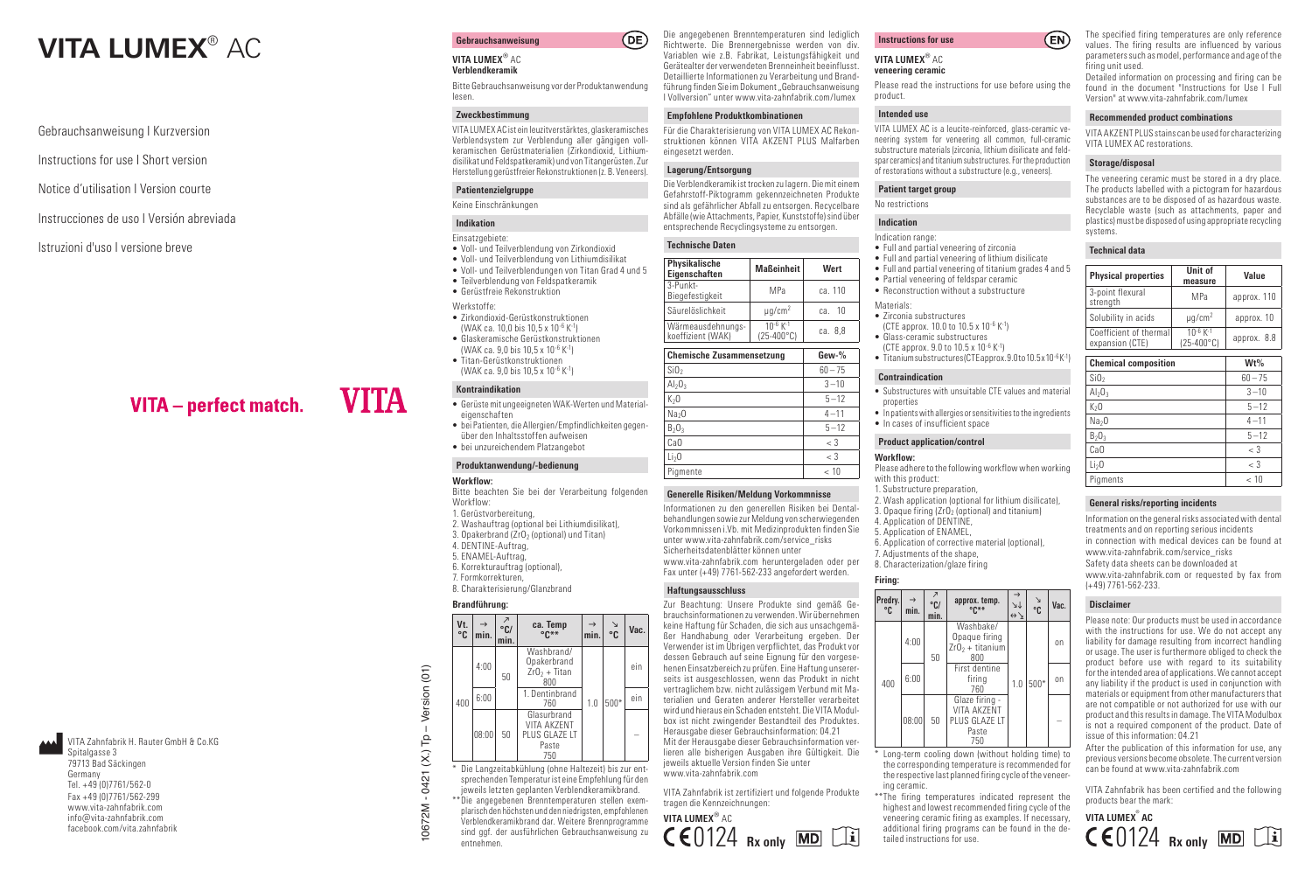# **VITA LUMEX**<sup>®</sup> AC **Gebrauchsanweisung**

Gebrauchsanweisung I Kurzversion

Instructions for use I Short version

Notice d'utilisation I Version courte

# Instrucciones de uso I Versión abreviada

Istruzioni d'uso I versione breve

# VITA - perfect match.

VITA Zahnfabrik H. Rauter GmbH & Co.KG Spitalgasse 3 79713 Bad Säckingen Germany Tel. +49 (0)7761/562 -0 Fax +49 (0)7761/562 -299 www.vita -zahnfabrik.com info@vita -zahnfabrik.com facebook.com/vita.zahnfabrik

# **VITA LUMEX** ® AC

**Verblendkeramik**

Bitte Gebrauchsanweisung vor der Produktanwendung lesen.

# **Zweckbestimmung**

VITA LUMEX AC ist ein leuzitverstärktes, glaskeramisches Verblendsystem zur Verblendung aller gängigen vollkeramischen Gerüstmaterialien (Zirkondioxid, Lithiumdisilikat und Feldspatkeramik) und von Titangerüsten. Zur Herstellung gerüstfreier Rekonstruktionen (z. B. Veneers).

# **Patientenzielgruppe**

# Keine Einschränkungen

# **Indikation** Einsatzgebiete:

- Voll- und Teilverblendung von Zirkondioxid
- Voll- und Teilverblendung von Lithiumdisilikat
- Voll- und Teilverblendungen von Titan Grad 4 und 5
- Teilverblendung von Feldspatkeramik • Gerüstfreie Rekonstruktion

**VITA** 

- Werkstoffe:
- Zirkondioxid -Gerüstkonstruktionen (WAK ca. 10,0 bis 10,5 x 10<sup>-6</sup> K<sup>-1</sup>)
- Glaskeramische Gerüstkonstruktionen (WAK ca. 9,0 bis 10,5 x 10<sup>-6</sup> K<sup>-1</sup>)
- Titan -Gerüstkonstruktionen (WAK ca. 9,0 bis 10,5 x 10<sup>-6</sup> K<sup>-1</sup>)

# **Kontraindikation**

- Gerüste mit ungeeigneten WAK -Werten und Materialeigenschaften
- bei Patienten, die Allergien/Empfindlichkeiten gegen über den Inhaltsstoffen aufweisen
- bei unzureichendem Platzangebot

# **Produktanwendung/-bedienung**

### **Workflow:**

- Bitte beachten Sie bei der Verarbeitung folgenden Workflow:
- 1. Gerüstvorbereitung,
- 2. Washauftrag (optional bei Lithiumdisilikat),
- 3. Opakerbrand (ZrO 2 (optional) und Titan)
- 4. DENTINE -Auftrag, 5. ENAMEL -Auftrag,
- 6. Korrekturauftrag (optional),
- 7. Formkorrekturen,
- 8. Charakterisierung/Glanzbrand

# **Brandführung:**

| Vt.<br>°C | min.  | $\overline{\phantom{a}}$<br>$^{\circ}$ C/<br>min. | ca. Temp<br>$or**$                                                                                                                                                                                                                                                                                                                                                                    | min. | N<br>°C | Vac. |
|-----------|-------|---------------------------------------------------|---------------------------------------------------------------------------------------------------------------------------------------------------------------------------------------------------------------------------------------------------------------------------------------------------------------------------------------------------------------------------------------|------|---------|------|
|           | 4:00  | 50                                                | Washbrand/<br>Opakerbrand<br>$ZrO2 + Titan$<br>800                                                                                                                                                                                                                                                                                                                                    | 1.0  | $500*$  | ein  |
| 400       | 6:00  |                                                   | 1. Dentinbrand<br>760                                                                                                                                                                                                                                                                                                                                                                 |      |         | ein  |
|           | 08:00 | 50                                                | Glasurbrand<br><b>VITA AKZENT</b><br>PLUS GLAZE LT<br>Paste<br>750                                                                                                                                                                                                                                                                                                                    |      |         |      |
|           |       |                                                   | Die Langzeitabkühlung (ohne Haltezeit) bis zur ent-<br>sprechenden Temperatur ist eine Empfehlung für den<br>jeweils letzten geplanten Verblendkeramikbrand.<br>** Die angegebenen Brenntemperaturen stellen exem-<br>plarisch den höchsten und den niedrigsten, empfohlenen<br>Verblendkeramikbrand dar. Weitere Brennprogramme<br>sind ggf. der ausführlichen Gebrauchsanweisung zu |      |         |      |

\* Die Langzeitabkühlung (ohne Haltezeit) bis zur ent sprechenden Temperatur ist eine Empfehlung für den jeweils letzten geplanten Verblendkeramikbrand. \*\* Die angegebenen Brenntemperaturen stellen exemplarisch den höchsten und den niedrigsten, empfohlenen Verblendkeramikbrand dar. Weitere Brennprogramme sind ggf. der ausführlichen Gebrauchsanweisung zu entnehmen.

Die angegebenen Brenntemperaturen sind lediglich Richtwerte. Die Brennergebnisse werden von div. Variablen wie z.B. Fabrikat, Leistungsfähigkeit und Gerätealter der verwendeten Brenneinheit beeinflusst. Detaillierte Informationen zu Verarbeitung und Brand führung finden Sie im Dokument "Gebrauchsanweisung I Vollversion" unter www.vita -zahnfabrik.com/lumex

Für die Charakterisierung von VITA LUMEX AC Rekonstruktionen können VITA AKZENT PLUS Malfarben

Die Verblendkeramik ist trocken zu lagern. Die mit einem Gefahrstoff -Piktogramm gekennzeichneten Produkte sind als gefährlicher Abfall zu entsorgen. Recycelbare Abfälle (wie Attachments, Papier, Kunststoffe) sind über entsprechende Recyclingsysteme zu entsorgen.

**Eigenschaften Maßeinheit Wert**

3-Punkt-<br>Biegefestigkeit MPa ca. 110

**Chemische Zusammensetzung Gew-%**

<sup>2</sup> 60

3

 $CaO$   $\leq$  3

 $2^{\circ}$   $\sim$  3 Pigmente < 10 **Generelle Risiken/Meldung Vorkommnisse** Informationen zu den generellen Risiken bei Dental behandlungen sowie zur Meldung von scherwiegenden Vorkommnissen i.Vb. mit Medizinprodukten finden Sie unter www.vita -zahnfabrik.com/service\_risks Sicherheitsdatenblätter können unter

 $10^{-6}$  K<sup>-1</sup>  $(25-400^{\circ}C)$  ca. 8,8

ca. 10

 $60 - 75$ 

 $3 - 10$ 

 $\sqrt{5-12}$ 

 $4 - 11$ 

 $5 - 12$ 

Säurelöslichkeit μg/cm<sup>2</sup>

# **Empfohlene Produktkombinationen**

eingesetzt werden. **Lagerung/Entsorgung**

 $(DE)$ 

**Technische Daten Physikalische** 

Wärmeausdehnungskoeffizient (WAK)

3-Punkt-

SiO

 $Al_2O_3$ 

 $K_2O$ 

Na 2O

 $B<sub>2</sub>0$ 

 $Li<sub>2</sub>0$ 

VITA LUMEX AC is a leucite -reinforced, glass -ceramic ve neering system for veneering all common, full -ceramic substructure materials (zirconia, lithium disilicate and feld spar ceramics) and titanium substructures. For the production of restorations without a substructure (e.g., veneers).

Please read the instructions for use before using the

#### **Patient target group**

**Instructions for use VITA LUMEX** ® AC **veneering ceramic**

product. **Intended use**

# No restrictions

- **Indication**
- Indication range:
- Full and partial veneering of zirconia
- Full and partial veneering of lithium disilicate • Full and partial veneering of titanium grades 4 and 5
- Partial veneering of feldspar ceramic
- Reconstruction without a substructure

- Materials: Zirconia substructures
- (CTE approx. 10.0 to 10.5 x 10<sup>-6</sup> K<sup>-1</sup>)
- Glass -ceramic substructures
- (CTE approx. 9.0 to 10.5 x 10 $\cdot$ 6 K $\cdot$ 1)
- Titanium substructures (CTE approx. 9.0 to 10.5 x 10<sup>-6</sup> K<sup>-1</sup>)

#### **Contraindication**

- Substructures with unsuitable CTE values and material properties
- In patients with allergies or sensitivities to the ingredients
- In cases of insufficient space

# **Product application/control**

- **Workflow:** Please adhere to the following workflow when working
- with this product:
- 1. Substructure preparation,
- 2. Wash application (optional for lithium disilicate),
- 3. Opaque firing (ZrO 2 (optional) and titanium)
- 4. Application of DENTINE, 5. Application of ENAMEL,
- 6. Application of corrective material (optional),
- 7. Adjustments of the shape,
- 8. Characterization/glaze firing

# **Firing:**

**Predry. °C**  $\rightarrow$ **min.**  k   **°C/ min. approx. temp. °C\*\***  gmi  $\leftrightarrow$  **°C Vac.** 400 4:00 50 Washbake/ Opaque firing  $ZrO<sub>2</sub> + titanium$ 800  $1.0 \times 500*$ on 6:00 First dentine firing 760 on  $|08:00$ Glaze firing -VITA AKZENT PLUS GLAZE LT Paste 750 \* Long -term cooling down (without holding time) to

the corresponding temperature is recommended for the respective last planned firing cycle of the veneering ceramic.

\*\* The firing temperatures indicated represent the highest and lowest recommended firing cycle of the veneering ceramic firing as examples. If necessary, additional firing programs can be found in the detailed instructions for use.

The specified firing temperatures are only reference values. The firing results are influenced by various parameters such as model, performance and age of the firing unit used.

Detailed information on processing and firing can be found in the document "Instructions for Use I Full Version" at www.vita -zahnfabrik.com/lumex

# **Recommended product combinations**

VITA AKZENT PLUS stains can be used for characterizing VITA LUMEX AC restorations.

# **Storage/disposal**

 $(EN)$ 

The veneering ceramic must be stored in a dry place. The products labelled with a pictogram for hazardous substances are to be disposed of as hazardous waste. Recyclable waste (such as attachments, paper and plastics) must be disposed of using appropriate recycling systems.

#### **Technical data**

| <b>Physical properties</b>                | Unit of<br>measure                      | Value       |
|-------------------------------------------|-----------------------------------------|-------------|
| 3-point flexural<br>strength              | MPa                                     | approx. 110 |
| Solubility in acids                       | $\mu$ q/cm <sup>2</sup>                 | approx. 10  |
| Coefficient of thermal<br>expansion (CTE) | $10^{-6} K^{-1}$<br>$(25-400^{\circ}C)$ | approx. 8.8 |
|                                           |                                         |             |

| <b>Chemical composition</b> | $Wt\%$    |
|-----------------------------|-----------|
| SiO <sub>2</sub>            | $60 - 75$ |
| $Al_2O_3$                   | $3 - 10$  |
| K <sub>2</sub> 0            | $5 - 12$  |
| Na <sub>2</sub> O           | $4 - 11$  |
| $B_2O_3$                    | $5 - 12$  |
| Ca <sub>O</sub>             | $<$ 3     |
| Li <sub>2</sub> 0           | $<$ 3     |
| Pigments                    | < 10      |

# **General risks/reporting incidents**

Information on the general risks associated with dental treatments and on reporting serious incidents in connection with medical devices can be found at www.vita -zahnfabrik.com/service\_risks Safety data sheets can be downloaded at www.vita -zahnfabrik.com or requested by fax from (+49) 7761 -562 -233.

# **Disclaimer**

–

Please note: Our products must be used in accordance with the instructions for use. We do not accept any liability for damage resulting from incorrect handling or usage. The user is furthermore obliged to check the product before use with regard to its suitability for the intended area of applications. We cannot accept any liability if the product is used in conjunction with materials or equipment from other manufacturers that are not compatible or not authorized for use with our product and this results in damage. The VITA Modulbox is not a required component of the product. Date of issue of this information: 04.21

After the publication of this information for use, any previous versions become obsolete. The current version can be found at www.vita -zahnfabrik.com

VITA Zahnfabrik has been certified and the following products bear the mark:



**Haftungsausschluss** Zur Beachtung: Unsere Produkte sind gemäß Ge brauchsinformationen zu verwenden. Wir übernehmen keine Haftung für Schaden, die sich aus unsachgemä

ßer Handhabung oder Verarbeitung ergeben. Der Verwender ist im Übrigen verpflichtet, das Produkt vor dessen Gebrauch auf seine Eignung für den vorgese henen Einsatzbereich zu prüfen. Eine Haftung unserer seits ist ausgeschlossen, wenn das Produkt in nicht vertraglichem bzw. nicht zulässigem Verbund mit Ma terialien und Geraten anderer Hersteller verarbeitet wird und hieraus ein Schaden entsteht. Die VITA Modul box ist nicht zwingender Bestandteil des Produktes.

www.vita -zahnfabrik.com heruntergeladen oder per Fax unter (+49) 7761 -562 -233 angefordert werden.

Herausgabe dieser Gebrauchsinformation: 04.21 Mit der Herausgabe dieser Gebrauchsinformation ver lieren alle bisherigen Ausgaben ihre Gültigkeit. Die jeweils aktuelle Version finden Sie unter www.vita -zahnfabrik.com

VITA Zahnfabrik ist zertifiziert und folgende Produkte tragen die Kennzeichnungen: